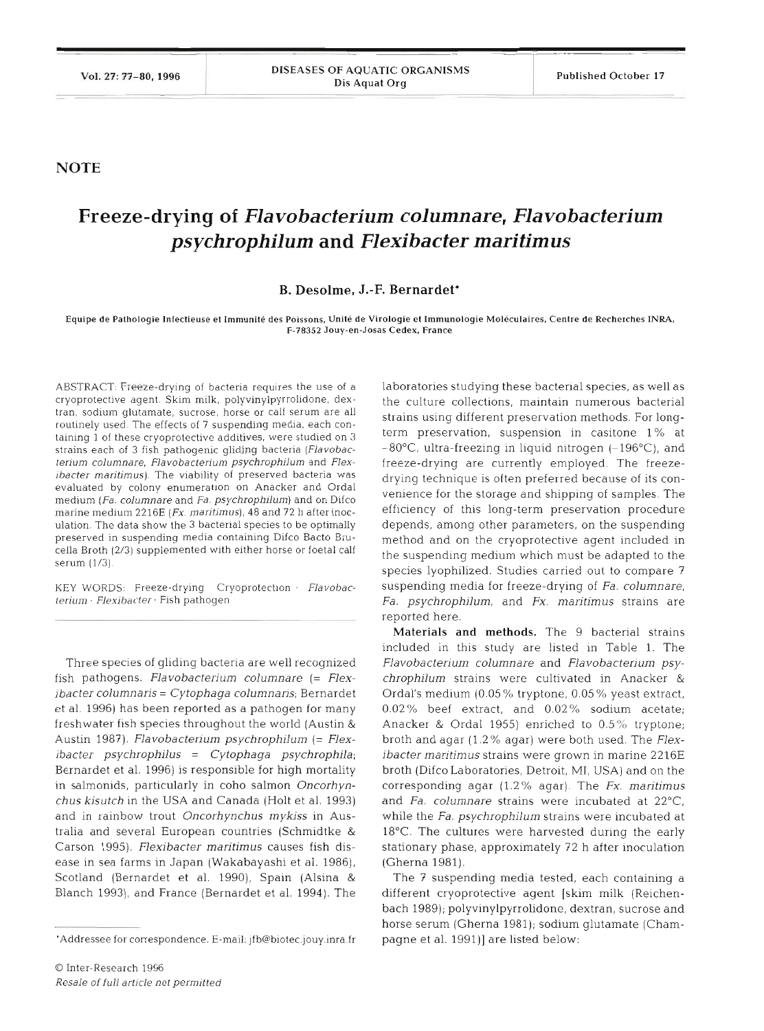## **NOTE**

## **Freeze-drying of** *Flavobacterium columnare, Flavobacterium psychrophilum* **and** *Flexibacter maritimus*

## **B. Desolme, J.-F. Bernardet\***

Equipe de Pathologie Infectieuse et Immunité des Poissons, Unité de Virologie et Immunologie Moléculaires, Centre de Recherches INRA, **F-78352 Jouy-en-Josas Cedex. France** 

ABSTRACT: Freeze-drying of bacteria requires the use of a cryoprotective agent. Skim milk, polyvinylpyrrolidone, dextran, sodium glutamate, sucrose, horse or calf serum are all routinely used. The effects of 7 suspending media, each containing 1 of these cryoprotective additives, were studied on *3*  strains each of **3** fish pathogenic gliding bacteria *(Flavobacterium columnare, Flavobacterium psychrophilum* and *Flexibacter maritimus*). The viability of preserved bacteria was evaluated by colony enumeration on Anacker and Ordal medium *(Fa. columnare* and *Fa. psychrophilum)* and on Difco marine medium 2216E *(Fx. maritjmus),* 48 and *72* h after inoculation. The data show the 3 bacterial species to be optimally preserved in suspending media containing Difco Bacto Brucella Broth (2/3) supplemented with either horse or foetal calf serum (1/3).

KEY WORDS: Freeze-drying Cryoprotection . Flavobac $terium · Flexibacter · Fish pathogen$ 

Three species of gliding bacteria are well recognized fish pathogens. *Flavobacterium columnare* (= *Flexibacter columnaris* = *Cytophaga columnaris*; Bernardet et al. 1996) has been reported as a pathogen for many freshwater fish species throughout the world (Austin & Austin 1987). *Flavobacterium psychrophilum* (= *Flexibacter psychrophilus* = *Cytophaga psychrophila;*  Bernardet et al. 1996) is responsible for high mortality in salmonids, particularly in coho salmon *Oncorhynchus kisutch* in the USA and Canada (Holt et al. 1993) and in rainbow trout *Oncorhynchus mykiss* in Australia and several European countries (Schmidtke & Carson 1995). *Flexibacter maritimus* causes fish disease in sea farms in Japan (Wakabayashi et al. 1986). Scotland (Bernardet et al. 1990), Spain (Alsina & Blanch 1993), and France (Bernardet et al. 1994). The

laboratories studying these bacterial species, as well as the culture collections, maintain numerous bacterial strains using different preservation methods. For longterm preservation, suspension in casitone 1 % at  $-80^{\circ}$ C, ultra-freezing in liquid nitrogen  $(-196^{\circ}$ C), and freeze-drying are currently employed. The freezedrying technique is often preferred because of its convenience for the storage and shipping of samples. The efficiency of this long-term preservation procedure depends, among other parameters, on the suspending method and on the cryoprotective agent included in the suspending medium which must be adapted to the species lyophilized. Studies carried out to compare <sup>7</sup> suspending media for freeze-drying of *Fa. columnare, Fa. psychrophilum,* and *Fx. nlaritimus* strains are reported here.

Materials and methods. The 9 bacterial strains included in this study are listed in Table 1. The *Flavobacterium columnare* and *Flavobacterium psychrophilum* strains were cultivated in Anacker & Ordal's medium (0.05 % tryptone, 0.05% yeast extract, 0.02 % beef extract, and 0.02 % sodium acetate; Anacker & Ordal 1955) enriched to  $0.5\%$  tryptone; broth and agar (1.2% agar) were both used. The *Flexibacter maritimus* strains were grown in marine 2216E broth (Difco Laboratories, Detroit, MI, USA) and on the corresponding agar (1.2% agar). The *Fx. maritimus*  and *Fa. columnare* strains were incubated at 22<sup>o</sup>C while the *Fa, psychrophilum* strains were incubated at  $18^{\circ}$ C. The cultures were harvested during the early stationary phase, approximately 72 h after inoculation (Gherna 1981).

The 7 suspending media tested, each containing a different cryoprotective agent [skim milk (Reichenbach 1989); polyvinylpyrrolidone, dextran, sucrose and horse serum (Gherna 1981); sodium glutamate (Champagne et al. 1991)] are listed below:

<sup>&#</sup>x27;Addressee for correspondence. E-mail: jfb@biotec.jouy.inra.fr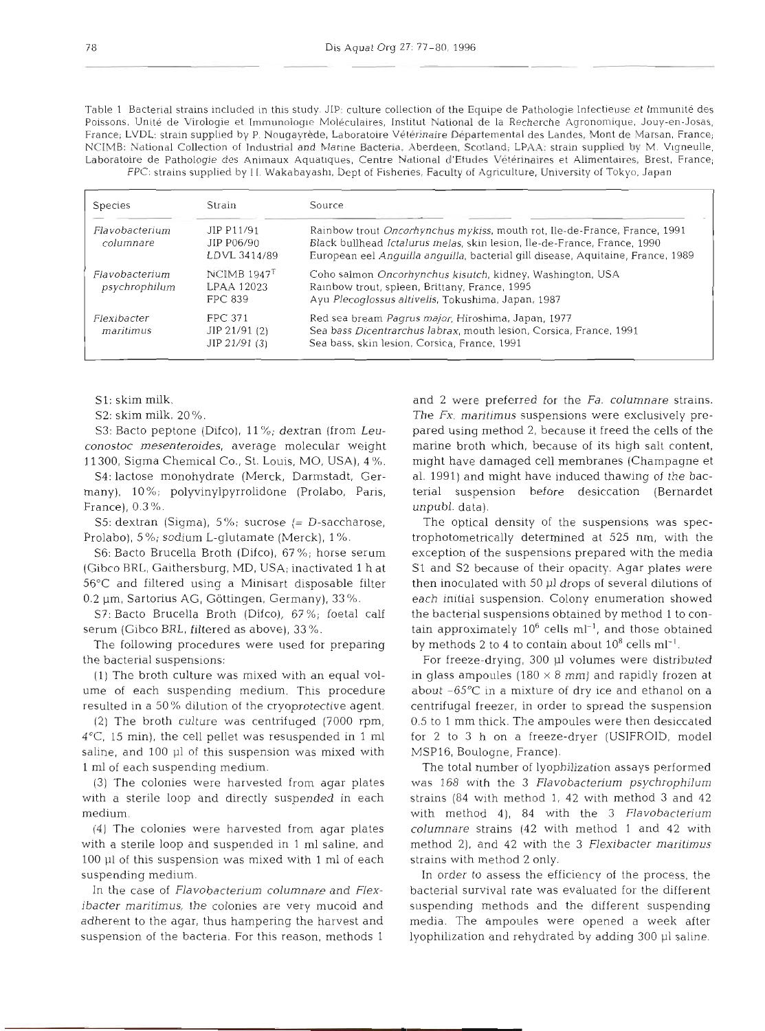Table 1 Bacterial strains included in this study. JIP: culture collection of the Equipe de Pathologie lnfectieuse et lmmunite des Poissons. Unité de Virologie et Immunologie Moléculaires, Institut National de la Recherche Agronomique. Jouy-en-Josas, France; LVDL: strain supplied by P. Nougayrede, Laboratoire Veterjnaire Dbparternental des Landes. Mont de Marsan, France; NCIMB: National Collection of Industrial and Marine Bacteria, Aberdeen, Scotland; LPAA: strain supplied by M. Vlgneulle, Laboratoire de Pathologie des Animaux Aquatiques, Centre National d'Etudes Vétérinaires et Alimentaires, Brest, France; FPC: strains supplied by 11. Wakabayashı, Dept of Fisheries, Faculty of Agriculture, University of Tokyo, Japan

| <b>Species</b>                  | Strain                                             | Source                                                                                                                                                                                                                                   |  |  |  |  |
|---------------------------------|----------------------------------------------------|------------------------------------------------------------------------------------------------------------------------------------------------------------------------------------------------------------------------------------------|--|--|--|--|
| Flavobacterium<br>columnare     | JIP P11/91<br>JIP P06/90<br>LDVL 3414/89           | Rainbow trout Oncorhynchus mykiss, mouth rot, Ile-de-France, France, 1991<br>Black bullhead Ictalurus melas, skin lesion, Ile-de-France, France, 1990<br>European eel Anguilla anguilla, bacterial gill disease, Aquitaine, France, 1989 |  |  |  |  |
| Flavobacterium<br>psychrophilum | $NCIMB 1947$ <sup>T</sup><br>LPAA 12023<br>FPC 839 | Coho salmon Oncorhynchus kisutch, kidney, Washington, USA<br>Rainbow trout, spleen, Brittany, France, 1995<br>Ayu Plecoglossus altivelis, Tokushima, Japan, 1987                                                                         |  |  |  |  |
| Flexibacter<br>maritimus        | <b>FPC 371</b><br>$JIP$ 21/91 (2)<br>JIP 21/91 (3) | Red sea bream Pagrus major, Hiroshima, Japan, 1977<br>Sea bass Dicentrarchus labrax, mouth lesion, Corsica, France, 1991<br>Sea bass, skin lesion, Corsica, France, 1991                                                                 |  |  |  |  |

S1: skim milk.

S2: skim milk, 20%.

S3: Bacto peptone (Difco), 11%; dextran (from *Leuconostoc mesenteroides,* average molecular weight 1 1300, Sigma Chemical Co., St. Louis, MO, USA), 4 %.

S4: lactose monohydrate (Merck, Darmstadt, Germany), 10%; polyvinylpyrrolidone (Prolabo. Paris, France), 0.3 %.

S5: dextran (Sigma), 5%; sucrose (= D-saccharose, Prolabo), 5%; sodium L-glutamate (Merck), 1 %.

S6: Bacto Brucella Broth (Difco), 67 %; horse serum (Gibco RRL, Gaithersburg, MD, USA; inactivated 1 h at 56°C and filtered using a Minisart disposable filter 0.2 µm, Sartorius AG, Göttingen, Germany), 33%.

S?: Bacto Brucella Broth (Difco), 67 %; foetal calf serum (Gibco BRL, filtered as above), 33%.

The following procedures were used for preparing the bacterial suspensions:

(1) The broth culture was mixed with an equal volume of each suspending medium. This procedure resulted in a 50% dilution of the cryoprotective agent.

(2) The broth culture was centrifuged (7000 rpm, 4"C, 15 min), the cell pellet was resuspended in 1 m1 saline, and 100 p1 of this suspension was mixed with 1 m1 of each suspending medium.

(3) The colonies were harvested from agar plates with a sterile loop and directly suspended in each medium.

(4) The colonies were harvested from agar plates with a sterile loop and suspended in 1 m1 saline, and 100 p1 of this suspension was mixed with 1 m1 of each suspending medium.

In the case of *Flavobacterium columnare* and *Flexibacter maritimus,* the colonies are very mucoid and adherent to the agar, thus hampering the harvest and suspension of the bacteria. For this reason, methods 1

and 2 were preferred for the *Fa. columnare* strains. The Fx. *maritimus* suspensions were exclusively prepared using method 2, because it freed the cells of the marine broth which, because of its high salt content, might have damaged cell membranes (Champagne et al. 1991) and might have induced thawing of the bacterial suspension before desiccation (Bernardet unpubl. data).

The optical density of the suspensions was spectrophotometrically determined at 525 nm, with the exception of the suspensions prepared with the media S1 and S2 because of their opacity. Agar plates were then inoculated with 50 p1 drops of several dilutions of each initial suspension. Colony enumeration showed the bacterial suspensions obtained by method 1 to contain approximately  $10^6$  cells ml<sup>-1</sup>, and those obtained by methods 2 to 4 to contain about  $10^8$  cells ml<sup>-1</sup>.

For freeze-drying, 300 µl volumes were distributed in glass ampoules (180  $\times$  8 mm) and rapidly frozen at about -65°C in a mixture of dry ice and ethanol on a centrifugal freezer, in order to spread the suspension 0.5 to 1 mm thick. The ampoules were then desiccated for 2 to **3** h on a freeze-dryer (USIFROID, model MSP16, Boulogne, France).

The total number of lyophilization assays performed was 168 with the 3 *Flavobacterium psychrophilum*  strains (84 with method 1, 42 with method **3** and 42 with method 4), 84 with the 3 *Flavobacterium columnare* strains (42 with method 1 and 42 with method 2), and 42 with the 3 *Flexibacter maritimus* strains with method 2 only.

In order to assess the efficiency of the process, the bacterial survival rate was evaluated for the different suspending methods and the different suspending media. The ampoules were opened a week after lyophilization and rehydrated by adding 300 µl saline.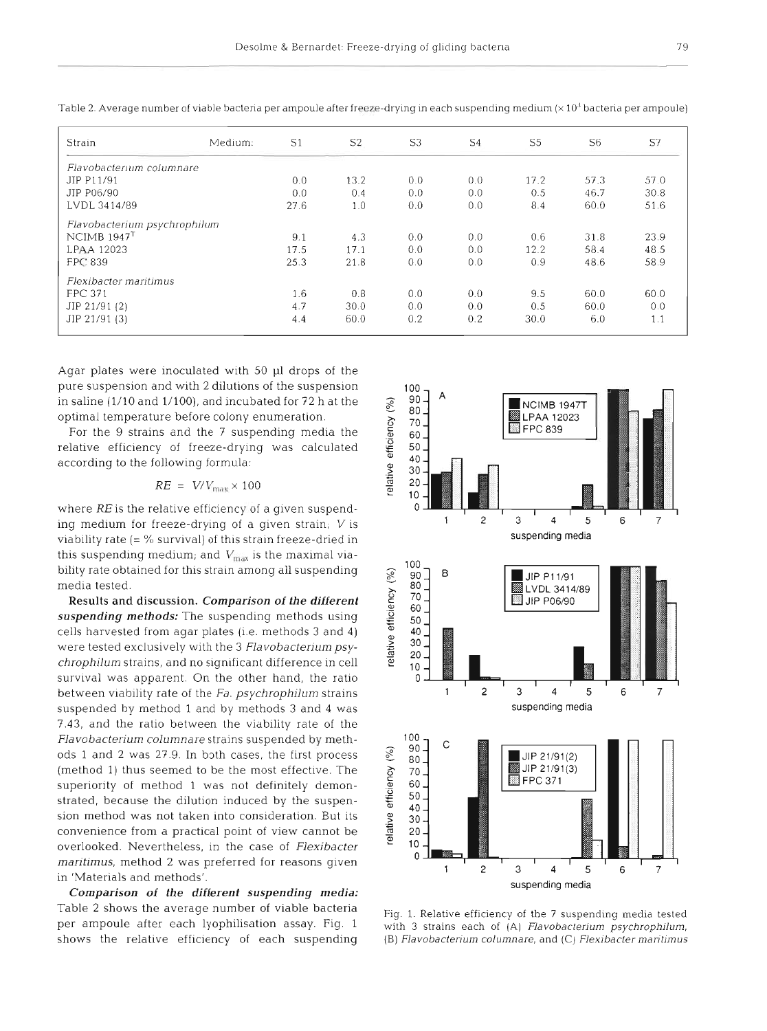| Strain                       | Medium: | S <sub>1</sub> | S <sub>2</sub> | S <sub>3</sub> | S <sub>4</sub> | S <sub>5</sub> | S <sub>6</sub> | S7   |
|------------------------------|---------|----------------|----------------|----------------|----------------|----------------|----------------|------|
| Flavobacterium columnare     |         |                |                |                |                |                |                |      |
| JIP P11/91                   |         | 0.0            | 13.2           | 0.0            | 0.0            | 17.2           | 57.3           | 57.0 |
| JIP P06/90                   |         | 0.0            | 0.4            | 0.0            | 0.0            | 0.5            | 46.7           | 30.8 |
| LVDL 3414/89                 |         | 27.6           | 1.0            | 0.0            | 0.0            | 8.4            | 60.0           | 51.6 |
| Flavobacterium psychrophilum |         |                |                |                |                |                |                |      |
| NCIMB $1947$ <sup>T</sup>    |         | 9.1            | 4.3            | 0.0            | 0.0            | 0.6            | 31.8           | 23.9 |
| LPAA 12023                   |         | 17.5           | 17.1           | 0.0            | 0.0            | 12.2           | 58.4           | 48.5 |
| FPC 839                      |         | 25.3           | 21.8           | 0.0            | 0.0            | 0.9            | 48.6           | 58.9 |
| Flexibacter maritimus        |         |                |                |                |                |                |                |      |
| <b>FPC 371</b>               |         | 1.6            | 0.8            | 0.0            | 0.0            | 9.5            | 60.0           | 60.0 |
| JIP 21/91 (2)                |         | 4.7            | 30.0           | 0.0            | 0.0            | 0.5            | 60.0           | 0.0  |
| JIP 21/91 (3)                |         | 4.4            | 60.0           | 0.2            | 0.2            | 30.0           | 6.0            | 1.1  |

Table 2. Average number of viable bacteria per ampoule after freeze-drying in each suspending medium ( $\times 10<sup>3</sup>$  bacteria per ampoule)

Agar plates were inoculated with 50 p1 drops of the pure suspension and with 2 dilutions of the suspension in saline (1/10 and 1/100), and incubated for 72 h at the optimal temperature before colony enumeration.

For the 9 strains and the 7 suspending media the relative efficiency of freeze-drying was calculated according to the following formula:

$$
RE = V/V_{\text{max}} \times 100
$$

where RE is the relative efficiency of a given suspending medium for freeze-drying of a given strain; V is viability rate  $(= %$  survival) of this strain freeze-dried in this suspending medium; and  $V_{\text{max}}$  is the maximal viabihty rate obtained for this strain among all suspending media tested.

**Results and discussion.** *Comparison of the different suspending methods:* The suspending methods using cells harvested from agar plates (i.e. methods 3 and 4) were tested exclusively with the 3 Flavobacterium psy*chrophilum* strains, and no significant difference in cell survival was apparent. On the other hand, the ratio between viability rate of the *Fa. psychrophilum* strains suspended by method 1 and by methods 3 and 4 was 7.43, and the ratio between the viability rate of the *Flavobacterium columnare* strains suspended by methods 1 and 2 was 27.9. In both cases, the first process (method 1) thus seemed to be the most effective. The superiority of method 1 was not definitely demonstrated, because the dilution induced by the suspension method was not taken into consideration. But its convenience from a practical point of view cannot be overlooked. Nevertheless, in the case of *Flexibacter maritirnus,* method *2* was preferred for reasons given in 'Materials and methods'.

*Comparison of the different suspending media:*  Table *2* shows the average number of viable bacteria per ampoule after each lyophilisation assay. Fig. 1 shows the relative efficiency of each suspending



Fig. 1. Relative efficiency of the 7 suspending media tested with 3 strains each of (A) Flavobacterium psychrophilum, (B) Flavobacterium columnare, and  $(C)$  Flexibacter maritimus